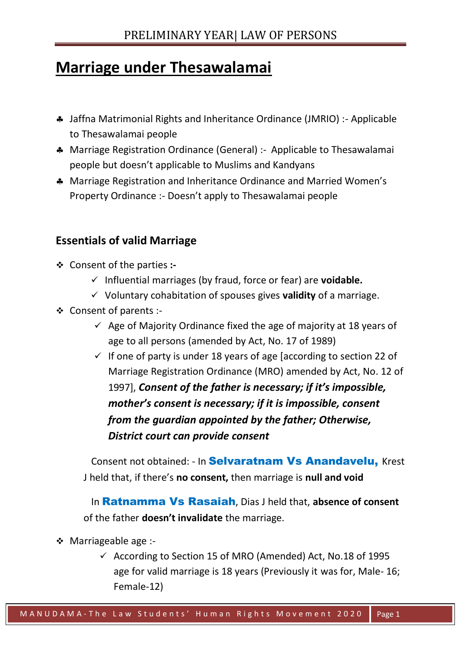## **Marriage under Thesawalamai**

- Jaffna Matrimonial Rights and Inheritance Ordinance (JMRIO) :- Applicable to Thesawalamai people
- Marriage Registration Ordinance (General) :- Applicable to Thesawalamai people but doesn't applicable to Muslims and Kandyans
- Marriage Registration and Inheritance Ordinance and Married Women's Property Ordinance :- Doesn't apply to Thesawalamai people

## **Essentials of valid Marriage**

- ❖ Consent of the parties **:-**
	- ✓ Influential marriages (by fraud, force or fear) are **voidable.**
	- ✓ Voluntary cohabitation of spouses gives **validity** of a marriage.
- ❖ Consent of parents :-
	- $\checkmark$  Age of Majority Ordinance fixed the age of majority at 18 years of age to all persons (amended by Act, No. 17 of 1989)
	- $\checkmark$  If one of party is under 18 years of age [according to section 22 of Marriage Registration Ordinance (MRO) amended by Act, No. 12 of 1997], *Consent of the father is necessary; if it's impossible, mother's consent is necessary; if it is impossible, consent from the guardian appointed by the father; Otherwise, District court can provide consent*

Consent not obtained: - In **Selvaratnam Vs Anandavelu**, Krest J held that, if there's **no consent,** then marriage is **null and void** 

 In Ratnamma Vs Rasaiah, Dias J held that, **absence of consent** of the father **doesn't invalidate** the marriage.

- ❖ Marriageable age :-
	- $\checkmark$  According to Section 15 of MRO (Amended) Act, No.18 of 1995 age for valid marriage is 18 years (Previously it was for, Male- 16; Female-12)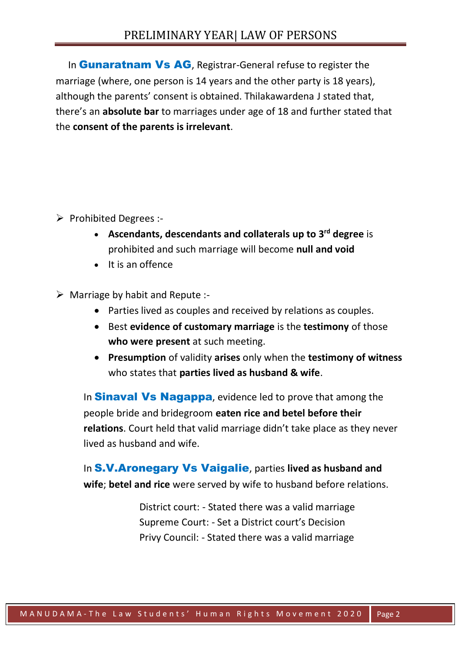In **Gunaratnam Vs AG**, Registrar-General refuse to register the marriage (where, one person is 14 years and the other party is 18 years), although the parents' consent is obtained. Thilakawardena J stated that, there's an **absolute bar** to marriages under age of 18 and further stated that the **consent of the parents is irrelevant**.

- ➢ Prohibited Degrees :-
	- **Ascendants, descendants and collaterals up to 3rd degree** is prohibited and such marriage will become **null and void**
	- It is an offence
- $\triangleright$  Marriage by habit and Repute :-
	- Parties lived as couples and received by relations as couples.
	- Best **evidence of customary marriage** is the **testimony** of those **who were present** at such meeting.
	- **Presumption** of validity **arises** only when the **testimony of witness** who states that **parties lived as husband & wife**.

In **Sinaval Vs Nagappa**, evidence led to prove that among the people bride and bridegroom **eaten rice and betel before their relations**. Court held that valid marriage didn't take place as they never lived as husband and wife.

In S.V.Aronegary Vs Vaigalie, parties **lived as husband and wife**; **betel and rice** were served by wife to husband before relations.

> District court: - Stated there was a valid marriage Supreme Court: - Set a District court's Decision Privy Council: - Stated there was a valid marriage